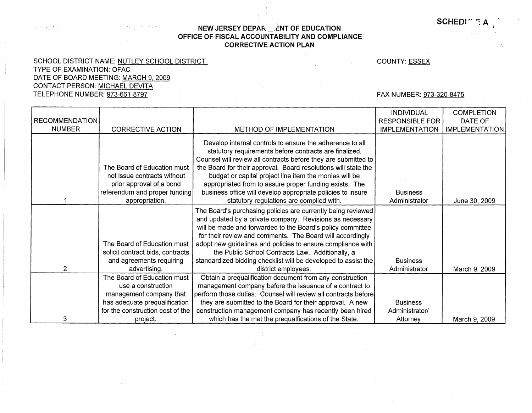**SCHEDI**  $\cdot$  **:** A

## **NEW JERSEY DEPAR LENT OF EDUCATION OFFICE OF FISCAL ACCOUNTABILITY AND COMPLIANCE CORRECTIVE ACTION PLAN**

 $\mathbb{R}^2$ 

SCHOOL DISTRICT NAME: NUTLEY SCHOOL DISTRICT TYPE OF EXAMINATION: OFAC DATE OF BOARD MEETING: MARCH 9, 2009 CONTACT PERSON: MICHAEL DEVITA TELEPHONE NUMBER: 973-661-8797

COUNTY: ESSEX

FAX NUMBER: 973-320-8475

|                       |                                  |                                                                                                                    | <b>INDIVIDUAL</b>      | <b>COMPLETION</b>     |
|-----------------------|----------------------------------|--------------------------------------------------------------------------------------------------------------------|------------------------|-----------------------|
| <b>RECOMMENDATION</b> |                                  |                                                                                                                    | <b>RESPONSIBLE FOR</b> | DATE OF               |
| <b>NUMBER</b>         | <b>CORRECTIVE ACTION</b>         | <b>METHOD OF IMPLEMENTATION</b>                                                                                    | <b>IMPLEMENTATION</b>  | <b>IMPLEMENTATION</b> |
|                       |                                  |                                                                                                                    |                        |                       |
|                       |                                  | Develop internal controls to ensure the adherence to all<br>statutory requirements before contracts are finalized. |                        |                       |
|                       |                                  | Counsel will review all contracts before they are submitted to                                                     |                        |                       |
|                       | The Board of Education must      | the Board for their approval. Board resolutions will state the                                                     |                        |                       |
|                       | not issue contracts without      | budget or capital project line item the monies will be                                                             |                        |                       |
|                       | prior approval of a bond         | appropriated from to assure proper funding exists. The                                                             |                        |                       |
|                       | referendum and proper funding    | business office will develop appropriate policies to insure                                                        | <b>Business</b>        |                       |
|                       | appropriation.                   | statutory regulations are complied with.                                                                           | Administrator          | June 30, 2009         |
|                       |                                  |                                                                                                                    |                        |                       |
|                       |                                  | The Board's purchasing policies are currently being reviewed                                                       |                        |                       |
|                       |                                  | and updated by a private company. Revisions as necessary                                                           |                        |                       |
|                       |                                  | will be made and forwarded to the Board's policy committee                                                         |                        |                       |
|                       |                                  | for their review and comments. The Board will accordingly                                                          |                        |                       |
|                       | The Board of Education must      | adopt new guidelines and policies to ensure compliance with                                                        |                        |                       |
|                       | solicit contract bids, contracts | the Public School Contracts Law. Additionally, a                                                                   |                        |                       |
| $\overline{2}$        | and agreements requiring         | standardized bidding checklist will be developed to assist the                                                     | <b>Business</b>        |                       |
|                       | advertising.                     | district employees.                                                                                                | Administrator          | March 9, 2009         |
|                       | The Board of Education must      | Obtain a prequalification document from any construction                                                           |                        |                       |
|                       | use a construction               | management company before the issuance of a contract to                                                            |                        |                       |
|                       | management company that          | perform those duties. Counsel will review all contracts before                                                     |                        |                       |
|                       | has adequate prequalification    | they are submitted to the Board for their approval. A new                                                          | <b>Business</b>        |                       |
|                       | for the construction cost of the | construction management company has recently been hired                                                            | Administrator/         |                       |
| 3                     | project.                         | which has the met the prequalfications of the State.                                                               | Attorney               | March 9, 2009         |

一部  $\left\langle \hat{f}_{\alpha} \right\rangle_{\alpha}$  .